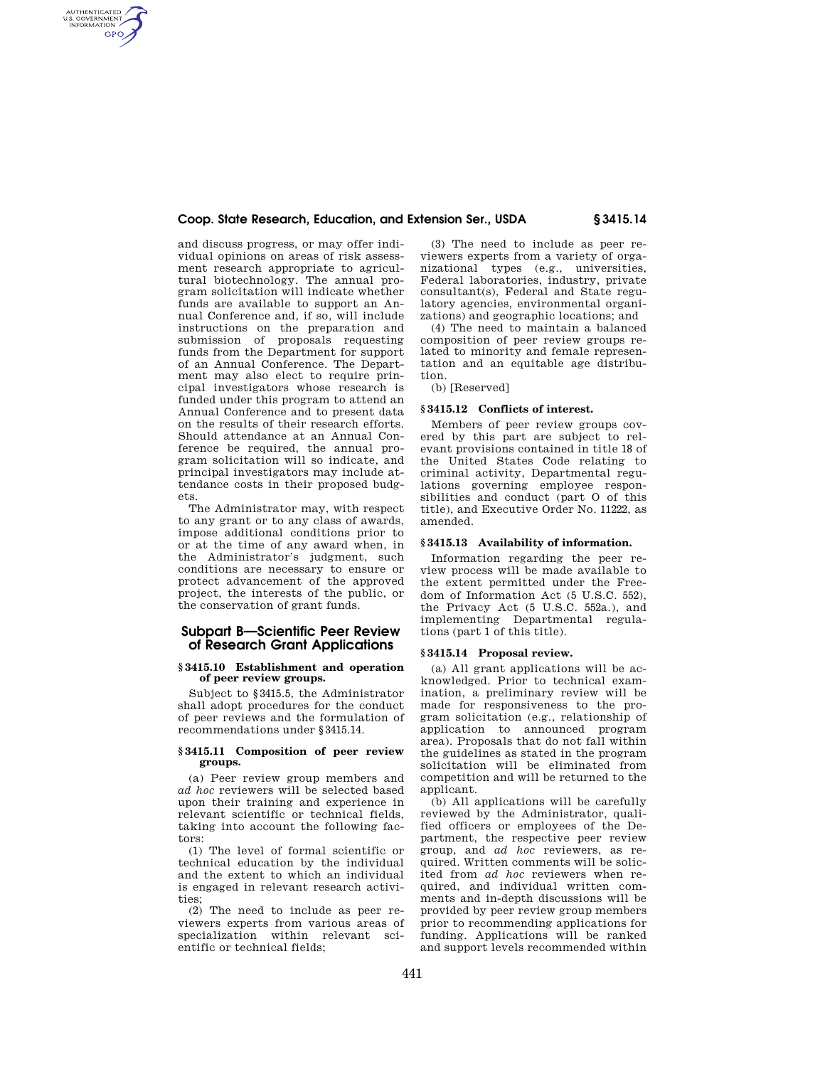# **Coop. State Research, Education, and Extension Ser., USDA § 3415.14**

and discuss progress, or may offer individual opinions on areas of risk assessment research appropriate to agricultural biotechnology. The annual program solicitation will indicate whether funds are available to support an Annual Conference and, if so, will include instructions on the preparation and submission of proposals requesting funds from the Department for support of an Annual Conference. The Department may also elect to require principal investigators whose research is funded under this program to attend an Annual Conference and to present data on the results of their research efforts. Should attendance at an Annual Conference be required, the annual program solicitation will so indicate, and principal investigators may include attendance costs in their proposed budgets.

AUTHENTICATED<br>U.S. GOVERNMENT<br>INFORMATION **GPO** 

> The Administrator may, with respect to any grant or to any class of awards, impose additional conditions prior to or at the time of any award when, in the Administrator's judgment, such conditions are necessary to ensure or protect advancement of the approved project, the interests of the public, or the conservation of grant funds.

# **Subpart B—Scientific Peer Review of Research Grant Applications**

## **§ 3415.10 Establishment and operation of peer review groups.**

Subject to §3415.5, the Administrator shall adopt procedures for the conduct of peer reviews and the formulation of recommendations under §3415.14.

## **§ 3415.11 Composition of peer review groups.**

(a) Peer review group members and *ad hoc* reviewers will be selected based upon their training and experience in relevant scientific or technical fields, taking into account the following factors:

(1) The level of formal scientific or technical education by the individual and the extent to which an individual is engaged in relevant research activities;

(2) The need to include as peer reviewers experts from various areas of specialization within relevant scientific or technical fields;

(3) The need to include as peer reviewers experts from a variety of organizational types (e.g., universities, Federal laboratories, industry, private consultant(s), Federal and State regulatory agencies, environmental organizations) and geographic locations; and

(4) The need to maintain a balanced composition of peer review groups related to minority and female representation and an equitable age distribution.

(b) [Reserved]

# **§ 3415.12 Conflicts of interest.**

Members of peer review groups covered by this part are subject to relevant provisions contained in title 18 of the United States Code relating to criminal activity, Departmental regulations governing employee responsibilities and conduct (part O of this title), and Executive Order No. 11222, as amended.

#### **§ 3415.13 Availability of information.**

Information regarding the peer review process will be made available to the extent permitted under the Freedom of Information Act (5 U.S.C. 552), the Privacy Act (5 U.S.C. 552a.), and implementing Departmental regulations (part 1 of this title).

## **§ 3415.14 Proposal review.**

(a) All grant applications will be acknowledged. Prior to technical examination, a preliminary review will be made for responsiveness to the program solicitation (e.g., relationship of application to announced program area). Proposals that do not fall within the guidelines as stated in the program solicitation will be eliminated from competition and will be returned to the applicant.

(b) All applications will be carefully reviewed by the Administrator, qualified officers or employees of the Department, the respective peer review group, and *ad hoc* reviewers, as required. Written comments will be solicited from *ad hoc* reviewers when required, and individual written comments and in-depth discussions will be provided by peer review group members prior to recommending applications for funding. Applications will be ranked and support levels recommended within